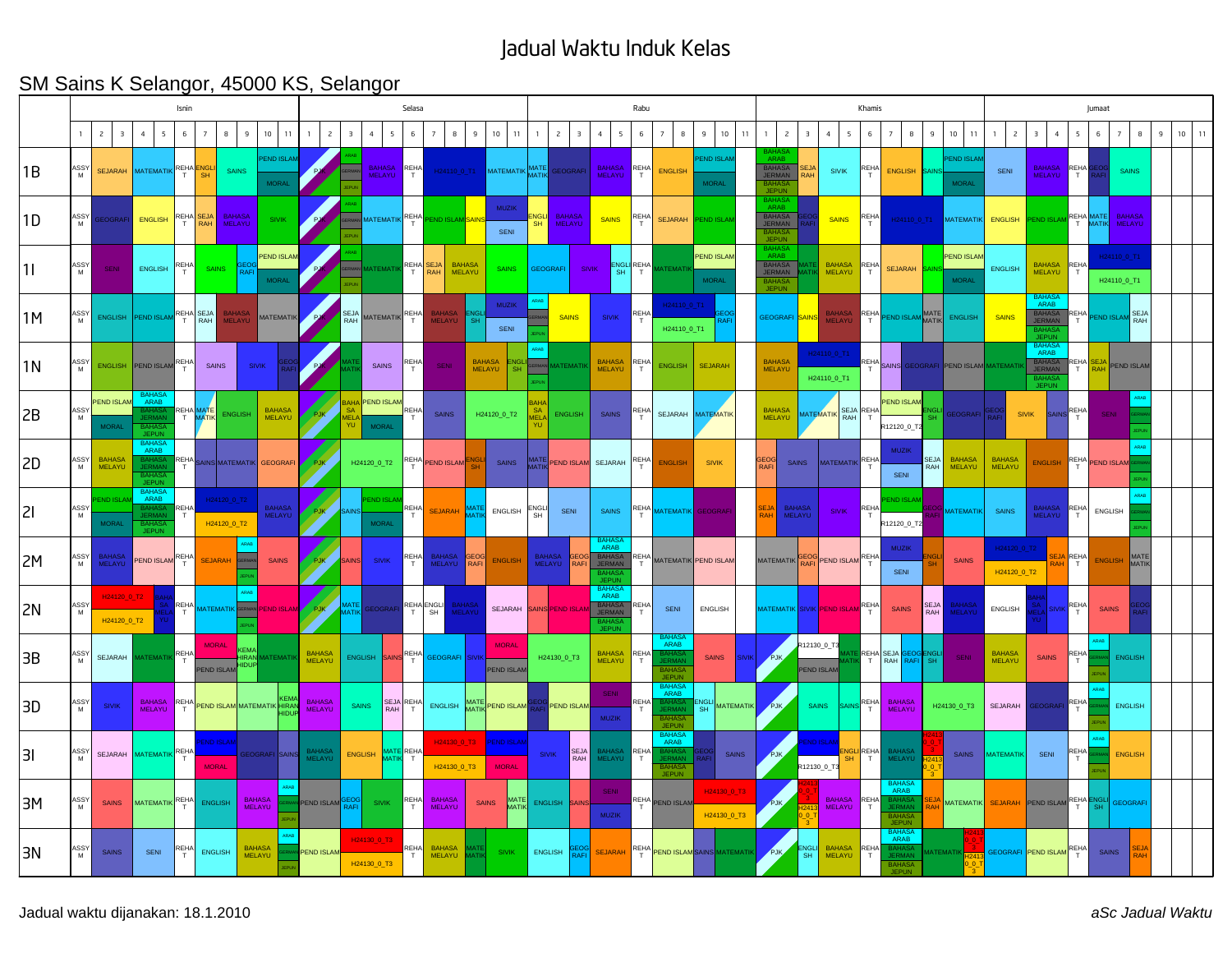## Jadual Waktu Induk Kelas

## SM Sains K Selangor, 45000 KS, Selangor

|    |           |                                           |                                                              | Isnin             |                                   |                                |                                   |                                | Selasa         |                                                     |                                |                      |                                |                                |                                   |                         | Rabu                                      |                                             |                        |                                                                           |                                   |          |                                                               |                         |                                         | Khamis           |                                                             | Jumaat              |                                   |                                  |                                                            |                 |                   |                            |   |         |  |
|----|-----------|-------------------------------------------|--------------------------------------------------------------|-------------------|-----------------------------------|--------------------------------|-----------------------------------|--------------------------------|----------------|-----------------------------------------------------|--------------------------------|----------------------|--------------------------------|--------------------------------|-----------------------------------|-------------------------|-------------------------------------------|---------------------------------------------|------------------------|---------------------------------------------------------------------------|-----------------------------------|----------|---------------------------------------------------------------|-------------------------|-----------------------------------------|------------------|-------------------------------------------------------------|---------------------|-----------------------------------|----------------------------------|------------------------------------------------------------|-----------------|-------------------|----------------------------|---|---------|--|
|    |           | $\overline{c}$<br>$\overline{\mathbf{3}}$ | $\overline{4}$<br>5                                          | 6                 | $\overline{7}$                    | 9<br>8                         | $10$ 11                           | $\mathbf{1}$                   | $\overline{c}$ | $\overline{\mathbf{3}}$<br>$\overline{4}$           | 5                              | 6                    | 8<br>$\overline{7}$            | 9                              | 10<br>11                          | $\overline{1}$          | $\overline{c}$<br>$\overline{\mathbf{3}}$ | $\overline{4}$<br>$\sim$                    | 6                      | 8<br>$\overline{7}$                                                       | 9                                 | 10<br>11 | $\overline{c}$<br>$\mathbf{1}$                                | $\overline{\mathbf{3}}$ | 4<br>5                                  | 6                | $\overline{7}$<br>8                                         | 9                   | 10<br>11                          | $\overline{c}$<br>$\overline{1}$ | $\overline{3}$<br>$\overline{4}$                           | 5               | 6                 | $\overline{7}$<br>8        | 9 | $10$ 11 |  |
| 1B | ASSY<br>M |                                           | SEJARAH MATEMATIK REHA ENGL                                  |                   |                                   | <b>SAINS</b>                   | <b>PEND ISLAM</b><br><b>MORAL</b> |                                |                |                                                     | BAHASA REHA                    |                      |                                |                                | H24110_0_T1 MATEMATIK MATE        |                         | GEOGRAF                                   | <b>BAHASA</b><br>MELAYU                     | REHA<br>T              | <b>ENGLISH</b>                                                            | <b>END ISLAN</b><br><b>MORAL</b>  |          | <b>ARAF</b><br><b>BAHASA</b><br>JERMAN<br><b>BAHA</b><br>JEPU | SEJ/<br>RAH             | <b>SIVIK</b>                            | REHA             | <b>ENGLISH</b>                                              |                     | <b>END ISLAN</b><br><b>MORAL</b>  | <b>SENI</b>                      | BAHASA REHA                                                |                 |                   | <b>SAINS</b>               |   |         |  |
| 1D | ASSY<br>M | EOGRAFI                                   | ENGLISH                                                      |                   | REHA SEJA                         | <b>BAHASA</b><br>MELAYU        | <b>SIVIK</b>                      |                                |                |                                                     | MATEMATIK REHA                 |                      | <b>ND ISLAN</b>                |                                | <b>MUZIK</b><br>SENI              | :NGLI<br>SH             | <b>BAHASA</b><br>MELAYU                   | <b>SAINS</b>                                | REHA                   | <b>SEJARAH</b>                                                            | <b>END ISLA</b>                   |          | <b>BAHA</b><br>ARAB<br>BAHASA<br>JERMAN<br><b>JEPUN</b>       |                         | <b>SAINS</b>                            | REHA             | H24110_0_T1                                                 |                     | <b>MATEMATIK</b>                  | ENGLISH                          | PEND ISLAM REHA MATE                                       |                 |                   | <b>BAHASA</b><br>MELAYU    |   |         |  |
| 1  | ASSY<br>M | <b>SENI</b>                               | ENGLISH REHA                                                 |                   | <b>SAINS</b>                      | RAF                            | PEND ISLAM<br><b>MORAL</b>        |                                |                |                                                     | <b>IATEMATI</b>                | REHA SEJA            |                                | <b>BAHASA</b><br><b>MELAYU</b> | <b>SAINS</b>                      | <b>GEOGRAFI</b>         |                                           | <b>SIVIK</b><br>SH.                         | <b>ENGLI REHA</b><br>T | ATEMAT                                                                    | <b>PEND ISLAN</b><br><b>MORAL</b> |          | ARAB<br>BAHASA<br>JERMAN<br><b>RAHASA</b><br><b>JEPUN</b>     |                         | <b>BAHASA</b><br><b>MELAYU</b>          | RFHA             | <b>SEJARAH</b>                                              |                     | <b>PEND ISLAN</b><br><b>MORAL</b> | <b>ENGLISH</b>                   | BAHASA REHA<br><b>MELAYU</b>                               | T               |                   | H24110_0_T1<br>H24110_0_T1 |   |         |  |
| 1M | ASSY<br>M | ENGLISH                                   | PEND ISLAM REHA SEJA                                         |                   |                                   | <b>BAHASA</b><br><b>MELAYU</b> | <b>MATEMATIK</b>                  |                                |                | SEJA<br>RAH                                         | MATEMATIK REHA                 |                      | <b>BAHASA</b><br>MELAYU        | <b>SH</b>                      | <b>MUZIK</b><br>SENI              |                         | <b>SAINS</b>                              | <b>SIVIK</b>                                | REHA<br>$\top$         | H24110_0_T1<br>H24110_0_T1                                                |                                   |          | GEOGRAFI <mark>SAINS</mark>                                   |                         | <b>BAHASA</b><br>MELAYU                 |                  | REHA PEND ISLAM MATE                                        |                     | <b>ENGLISH</b>                    | <b>SAINS</b>                     | BAHAS<br>BAHASA<br>JERMAN<br>3AH.<br><b>JEPU</b>           | REHA            | <b>PEND ISLAM</b> | <b>SEJA</b><br>RAH         |   |         |  |
| 1N | ASSY      | <b>ENGLISH</b>                            | PEND ISLAM                                                   | <b>REHA</b>       | SAINS                             |                                | <b>SIVIK</b>                      |                                |                |                                                     | SAINS                          | REHA                 | <b>SENI</b>                    | <b>BAHASA</b><br>MELAYU        | ENGL<br>SH                        |                         | <b>ATEMATI</b>                            | <b>BAHASA</b><br>MELAYU                     | REHA<br>T              | <b>ENGLISH</b>                                                            | <b>SEJARAH</b>                    |          | <b>BAHASA</b><br>MELAYU                                       |                         | H24110_0_T1<br>H24110_0_T1              |                  |                                                             |                     | REHA SAINS GEOGRAFI PEND ISLAM    |                                  | <b>BAHAS</b><br>ARAB<br>BAHASA<br>JERMAN<br>BAHAS<br>JEPUI |                 |                   | REHA SEJA PEND ISLAM       |   |         |  |
| 2B | ASSY<br>M | <b>PEND ISLAM</b><br><b>MORAL</b>         | ARAB<br><b>BAHAS</b><br><b>JEPUN</b>                         |                   | REHA MATE                         | <b>ENGLISH</b>                 | <b>BAHASA</b><br><b>MELAYU</b>    | <b>PJK</b>                     |                | <b>BAHA PEND ISLAM</b><br><b>SA</b><br><b>MORAL</b> |                                | REHA                 | SAINS                          |                                | H24120_0_T2                       |                         | <b>ENGLISH</b>                            | <b>SAINS</b>                                | <b>REHA</b><br>T       |                                                                           | SEJARAH MATEMATIK                 |          | <b>BAHASA</b><br><b>MELAYU</b>                                |                         | <b>AATEMATIK</b><br><b>RAH</b>          | <b>SEJA REHA</b> | <b>PEND ISLAM</b><br>12120_0_1                              | NGL                 | <b>GEOGRAFI</b>                   |                                  | <b>SIVIK</b><br><b>AIN</b>                                 | REHA            | <b>SENI</b>       |                            |   |         |  |
| 2D | ASSY<br>M | <b>BAHASA</b><br>MELAYU                   | BAHASA<br>ARAB<br><b>JERMA</b><br><b>BAHA</b><br><b>JEPU</b> | REHA <sub>.</sub> |                                   |                                | AINS MATEMATIK GEOGRAFI           | PJK                            |                | H24120_0_T2                                         |                                | REHA                 | PEND ISLAM                     |                                | SAINS                             |                         | ALL PEND ISLAM                            | SEJARAH                                     | REHA<br>T              | <b>ENGLISH</b>                                                            | <b>SIVIK</b>                      |          | <b>GEOG</b><br>RAFI                                           | <b>SAINS</b>            | MATEMATIK REHA                          | T                | <b>MUZIK</b><br>SENI                                        | <b>SEJA</b><br>RAH  | <b>BAHASA</b><br>MELAYU           | <b>BAHASA</b><br>MELAYU          | <b>ENGLISH</b>                                             |                 | REHA PEND ISLAM   |                            |   |         |  |
| 21 | ASSY<br>M | ND ISLAI<br><b>MORAL</b>                  | <b>BAHAS</b><br>ARAB<br>BAHAS/<br>JERMAI<br>BAHASA<br>JEPUN  | <b>REHA</b><br>T  |                                   | H24120_0_T2<br>H24120_0_T2     | <b>BAHASA</b><br>MELAYU           | PJK                            |                | <b>END ISLAI</b><br><b>MORAL</b>                    |                                | REHA                 | <b>SEJARAH</b>                 |                                | ENGLISH                           | ENGLI<br>SH             | SENI                                      | SAINS                                       | <b>REHA</b>            | <b>MATEMATIK</b>                                                          | GEOGRAF                           |          |                                                               | BAHASA<br>MELAYU        | <b>SIVIK</b>                            | REHA             | END ISLAI<br>212120_0_T                                     |                     | <b>MATEMATIK</b>                  | <b>SAINS</b>                     | <b>BAHASA</b><br>MELAYU                                    | REHA            | <b>ENGLISH</b>    |                            |   |         |  |
| 2M | ASSY<br>M | <b>BAHASA</b><br>MELAYU                   | PEND ISLAM REHA                                              |                   | <b>SEJARAH</b>                    | <b>SRAP</b>                    | <b>SAINS</b>                      | PJK                            |                | <b>SIVIK</b><br><b>SAINS</b>                        |                                | <b>REHA</b><br>T.    | <b>BAHASA</b><br>MELAYU        | GEOG<br>RAFI                   | <b>ENGLISH</b>                    | <b>BAHASA</b><br>MELAYU | <b>RAFI</b>                               | ARAB<br>BAHASA<br>JERMAN<br>BAHAS.<br>JEPUN |                        | REHA MATEMATIK PEND ISLAM                                                 |                                   |          | MATEMATIK                                                     |                         | <b>EOG</b> PEND ISLAM REHA              |                  | <b>MUZIK</b><br>SENI                                        |                     | <b>SAINS</b>                      | H24120_0_T2<br>H24120_0_T2       |                                                            | <b>EJA REHA</b> | <b>ENGLISH</b>    | MATE                       |   |         |  |
| 2N | ASSY<br>M | H24120_0_T2<br>H24120 0 T2                |                                                              |                   |                                   |                                | REHA MATEMATIK GERMAN PEND ISLAM  | PJK                            |                | AATE<br><b>AATI</b>                                 | GEOGRAFI                       | REHA ENGLI           |                                | <b>BAHASA</b><br>MELAYU        | SEJARAH                           |                         | SAINS PEND ISLA                           | BAHASA<br>ARAB<br><b>BAHASA</b><br>JERMAN   | REHA<br>T              | SENI                                                                      | <b>ENGLISH</b>                    |          |                                                               |                         | MATEMATIK SIVIK <mark>PEND ISLAM</mark> | REHA             | <b>SAINS</b>                                                | SEJA<br>RAH         | BAHASA<br>MELAYU                  | ENGLISH                          |                                                            | REHA<br>T       | <b>SAINS</b>      |                            |   |         |  |
| 3B | ASSY<br>M | SEJARAH                                   | <b>IATEMATIK</b>                                             | REHA              | <b>MORAL</b><br><b>PEND ISLAM</b> | <b>RA</b>                      | <b>ATEMATI</b>                    | <b>BAHASA</b><br>MELAYU        |                | ENGLISH SAINS                                       |                                | REHA                 | GEOGRAFI SIVI                  |                                | <b>MORAL</b><br><b>PEND ISLAN</b> |                         | H24130_0_T3                               | <b>BAHASA</b><br>MELAYU                     | REHA<br>T              | <b>BAHAS</b><br>ARAB<br>BAHAS/<br>JERMAN<br><b>BAHASA</b><br><b>JEPUN</b> | <b>SAINS</b>                      |          | PJK,                                                          | R12130_0_T3             | PEND ISLAM                              |                  | REHASEJA                                                    | SEOGENGLI<br>RAFISH | SENI                              | <b>BAHASA</b><br>MELAYU          | <b>SAINS</b>                                               | REHA            |                   | <b>ENGLISH</b>             |   |         |  |
| 3D | ASSY<br>M | <b>SIVIK</b>                              | BAHASA REHA PEND ISLAM MATEMATIK HIRAN<br>MELAYU             |                   |                                   |                                |                                   | <b>BAHASA</b><br><b>MELAYU</b> |                | <b>SAINS</b>                                        | <b>SEJA REHA</b><br><b>RAH</b> | T                    | ENGLISH                        |                                | MATE PEND ISLAM                   |                         | PEND ISLAM                                | <b>SENI</b><br><b>MUZIK</b>                 | REHA<br>$\top$         | BAHAS/<br>ARAB<br>BAHASA<br>JEPUN                                         | NGLI MATEMATIK                    |          | <b>PJK</b>                                                    |                         | <b>SAINS</b>                            | REHA<br>T        | <b>BAHASA</b><br><b>MELAYU</b>                              |                     | H24130_0_T3                       | SEJARAH                          | EOGRAF                                                     | REH/            |                   | <b>ENGLISH</b>             |   |         |  |
| 31 | ASSY<br>M |                                           | SEJARAH MATEMATIK REHA                                       |                   | ND ISLAN<br><b>MORAL</b>          |                                | SEOGRAFI SAINS                    | BAHASA<br>MELAYU               |                | <b>ENGLISH</b>                                      | <b>ATE</b> REHA<br><b>AAT</b>  |                      | H24130_0_T3<br>H24130_0_T3     |                                | <b>PEND ISLAI</b><br><b>MORAL</b> | <b>SIVIK</b>            | SEJA<br>RAH                               | <b>BAHASA</b><br>MELAYU                     | REHA<br>T              | BAHASA<br>ARAB<br>¦AHASA<br>FRMAN<br><b>BAHAS</b><br><b>JEPUN</b>         |                                   | SAINS    | PJK,                                                          |                         | ND ISLA<br>R12130_0_T3                  | REHA<br>T        | BAHASA<br>MELAYU                                            |                     | <b>SAINS</b>                      | <b>MATEMATIK</b>                 | SENI                                                       | REHA            |                   | <b>ENGLISH</b>             |   |         |  |
| 3M | ASSY      | <b>SAINS</b>                              | MATEMATIK <sup>REHA</sup>                                    |                   | <b>ENGLISH</b>                    | <b>BAHASA</b><br>MELAYU        |                                   | PEND ISLAM                     |                | BEO)<br>RAF                                         | <b>SIVIK</b>                   | REHA                 | <b>BAHASA</b><br>MELAYU        | <b>SAINS</b>                   | MATE                              | ENGLISH                 | <b>SAINS</b>                              | SENI<br><b>MUZIK</b>                        |                        | REHA PEND ISLAM                                                           | H24130 0 T3<br>H24130_0_T3        |          | PJK,                                                          |                         | <b>BAHASA</b><br>MELAYU                 | REHA             | <b>BAHAS</b><br>ARAB<br>BAHAS/<br>JERMAN<br>BAHAS/<br>JEPUN |                     | <b>MATEMATIK</b>                  |                                  | SEJARAH PEND ISLAM REHA                                    |                 |                   | <b>GEOGRAF</b>             |   |         |  |
| 3N | ASSY<br>M | SAINS                                     | <b>SENI</b>                                                  | <b>REHA</b>       | ENGLISH                           | <b>BAHASA</b>                  | MELAYU                            | PEND ISLAM                     |                | H24130_0_T3<br>H24130_0_T3                          |                                | REHA<br>$\mathsf{T}$ | <b>BAHASA</b><br><b>MELAYU</b> |                                | <b>SIVIK</b>                      | ENGLISH                 | <b>PAEL</b>                               | <b>SEJARAH</b>                              |                        | REHA PEND ISLAM SAINS MATEMATIK                                           |                                   |          | PJK,                                                          | <b>NGL</b><br>SH        | <b>BAHASA</b><br><b>MELAYU</b>          | REHA             | BAHASA<br>ARAB<br>AHAS.<br><b>BAHASA</b><br>JEPUN           |                     | MATEMATIK                         |                                  | GEOGRAFI PEND ISLAM REHA                                   |                 | <b>SAINS</b>      |                            |   |         |  |